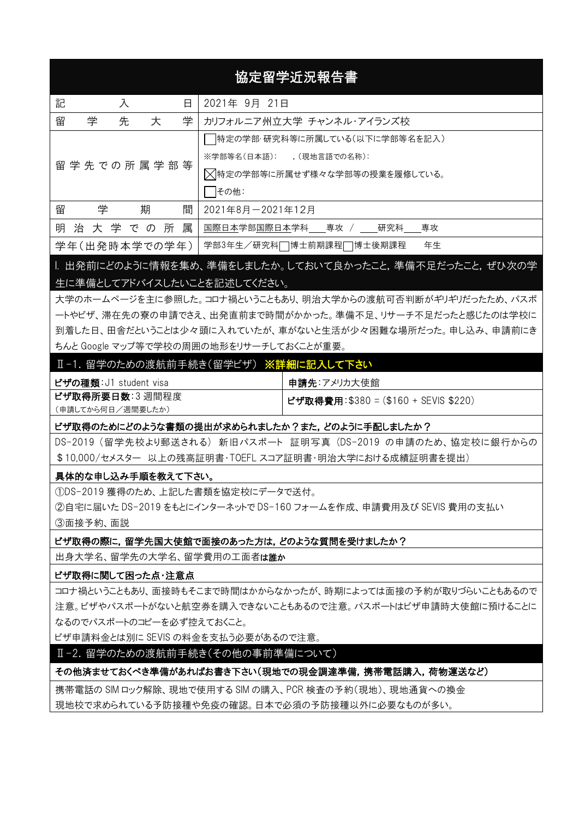# 協定留学近況報告書

| 記<br>日<br>入           | 2021年 9月 21日                  |  |  |  |  |
|-----------------------|-------------------------------|--|--|--|--|
| 先<br>学<br>留<br>学<br>大 | カリフォルニア州立大学 チャンネル・アイランズ校      |  |  |  |  |
|                       | 特定の学部・研究科等に所属している(以下に学部等名を記入) |  |  |  |  |
|                       | ※学部等名(日本語): 、(現地言語での名称):      |  |  |  |  |
| 留 学 先 での 所 属 学 部 等    | △特定の学部等に所属せず様々な学部等の授業を履修している。 |  |  |  |  |
|                       | その他:                          |  |  |  |  |
| 学<br>留<br>間<br>期      | 2021年8月-2021年12月              |  |  |  |  |
| 明治大学での所属              | 国際日本学部国際日本学科 尊攻 / 研究科<br>専攻   |  |  |  |  |
| 学年(出発時本学での学年)         | 年生<br>学部3年生/研究科□博士前期課程□博士後期課程 |  |  |  |  |

I. 出発前にどのように情報を集め、準備をしましたか。しておいて良かったこと,準備不足だったこと,ぜひ次の学 生に準備としてアドバイスしたいことを記述してください。

大学のホームページを主に参照した。コロナ禍ということもあり、明治大学からの渡航可否判断がギリギリだったため、パスポ ートやビザ、滞在先の寮の申請でさえ、出発直前まで時間がかかった。準備不足、リサーチ不足だったと感じたのは学校に 到着した日、田舎だということは少々頭に入れていたが、車がないと生活が少々困難な場所だった。申し込み、申請前にき ちんと Google マップ等で学校の周囲の地形をリサーチしておくことが重要。

# Ⅱ-1. 留学のための渡航前手続き(留学ビザ) ※詳細に記入して下さい

| ビザの種類: J1 student visa | 申請先:アメリカ大使館                                       |
|------------------------|---------------------------------------------------|
| ビザ取得所要日数:3週間程度         | <sup> </sup> ビザ取得費用:\$380 = (\$160 + SEVIS \$220) |
| (申請してから何日/週間要したか)      |                                                   |

# ビザ取得のためにどのような書類の提出が求められましたか?また,どのように手配しましたか?

DS-2019 (留学先校より郵送される) 新旧パスポート 証明写真 (DS-2019 の申請のため、協定校に銀行からの \$10,000/セメスター 以上の残高証明書・TOEFL スコア証明書・明治大学における成績証明書を提出)

# 具体的な申し込み手順を教えて下さい。

①DS-2019 獲得のため、上記した書類を協定校にデータで送付。 ②自宅に届いた DS-2019 をもとにインターネットで DS-160 フォームを作成、申請費用及び SEVIS 費用の支払い ③面接予約、面説

#### ビザ取得の際に,留学先国大使館で面接のあった方は,どのような質問を受けましたか?

出身大学名、留学名、留学費用の工面者は誰か

#### ビザ取得に関して困った点・注意点

コロナ禍ということもあり、面接時もそこまで時間はかからなかったが、時期によっては面接の予約が取りづらいこともあるので 注意。ビザやパスポートがないと航空券を購入できないこともあるので注意。パスポートはビザ申請時大使館に預けることに なるのでパスポートのコピーを必ず控えておくこと。

ビザ申請料金とは別に SEVIS の料金を支払う必要があるので注意。

Ⅱ-2. 留学のための渡航前手続き(その他の事前準備について)

#### その他済ませておくべき準備があればお書き下さい(現地での現金調達準備,携帯電話購入,荷物運送など)

携帯電話の SIM ロック解除、現地で使用する SIM の購入、PCR 検査の予約(現地)、現地通貨への換金 現地校で求められている予防接種や免疫の確認。日本で必須の予防接種以外に必要なものが多い。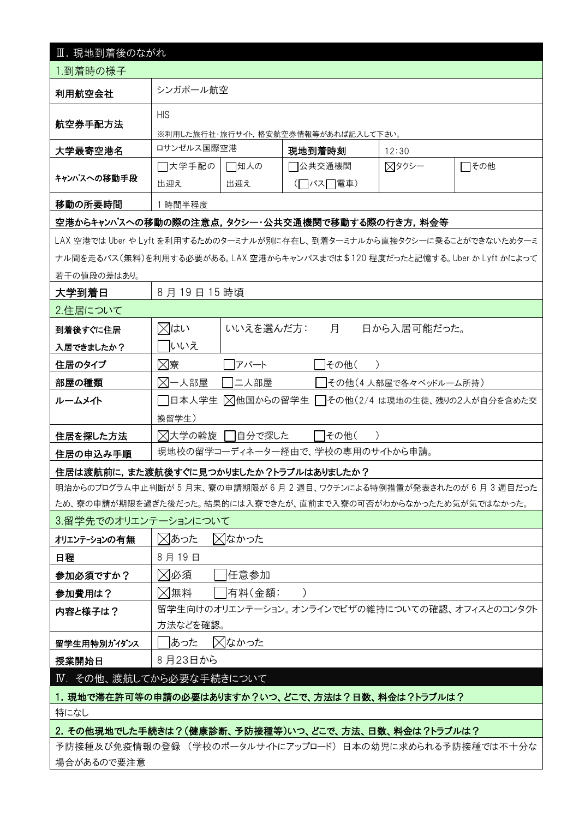| Ⅲ. 現地到着後のながれ                                                               |                                                     |           |          |      |                      |                                                |  |
|----------------------------------------------------------------------------|-----------------------------------------------------|-----------|----------|------|----------------------|------------------------------------------------|--|
| 1.到着時の様子                                                                   |                                                     |           |          |      |                      |                                                |  |
| 利用航空会社                                                                     | シンガポール航空                                            |           |          |      |                      |                                                |  |
| 航空券手配方法                                                                    | <b>HIS</b>                                          |           |          |      |                      |                                                |  |
|                                                                            | ※利用した旅行社・旅行サイト,格安航空券情報等があれば記入して下さい。                 |           |          |      |                      |                                                |  |
| 大学最寄空港名                                                                    | ロサンゼルス国際空港                                          |           | 現地到着時刻   |      | 12:30                |                                                |  |
| キャンパスへの移動手段                                                                | □大学手配の                                              | □知人の      | □公共交通機関  |      | ⊠タクシー                | □その他                                           |  |
|                                                                            | 出迎え                                                 | 出迎え       | (□バス□電車) |      |                      |                                                |  |
| 移動の所要時間                                                                    | 1 時間半程度                                             |           |          |      |                      |                                                |  |
| 空港からキャンパスへの移動の際の注意点,タクシー・公共交通機関で移動する際の行き方,料金等                              |                                                     |           |          |      |                      |                                                |  |
| LAX 空港では Uber や Lyft を利用するためのターミナルが別に存在し、到着ターミナルから直接タクシーに乗ることができないためターミ    |                                                     |           |          |      |                      |                                                |  |
| ナル間を走るバス(無料)を利用する必要がある。LAX 空港からキャンパスまでは\$120 程度だったと記憶する。 Uber か Lyft かによって |                                                     |           |          |      |                      |                                                |  |
| 若干の値段の差はあり。                                                                |                                                     |           |          |      |                      |                                                |  |
| 大学到着日                                                                      | 8月19日15時頃                                           |           |          |      |                      |                                                |  |
| 2.住居について                                                                   |                                                     |           |          |      |                      |                                                |  |
| 到着後すぐに住居                                                                   | ⊠はい                                                 | いいえを選んだ方: |          | 月    | 日から入居可能だった。          |                                                |  |
| 入居できましたか?                                                                  | いいえ                                                 |           |          |      |                      |                                                |  |
| 住居のタイプ                                                                     | ⊠寮                                                  | アパート      |          | その他( |                      |                                                |  |
| 部屋の種類                                                                      | 对一人部屋                                               | 二人部屋      |          |      | その他(4人部屋で各々ベッドルーム所持) |                                                |  |
| ルームメイト                                                                     | 日本人学生<br> ╳ 他国からの留学生   その他(2/4 は現地の生徒、残りの2人が自分を含めた交 |           |          |      |                      |                                                |  |
|                                                                            | 換留学生)                                               |           |          |      |                      |                                                |  |
| 住居を探した方法                                                                   | ╳ 大学の斡旋 │  自分で探した<br>その他(                           |           |          |      |                      |                                                |  |
| 住居の申込み手順                                                                   | 現地校の留学コーディネーター経由で、学校の専用のサイトから申請。                    |           |          |      |                      |                                                |  |
| 住居は渡航前に,また渡航後すぐに見つかりましたか?トラブルはありましたか?                                      |                                                     |           |          |      |                      |                                                |  |
| 明治からのプログラム中止判断が5月末、寮の申請期限が6月2週目、ワクチンによる特例措置が発表されたのが6月3週目だった                |                                                     |           |          |      |                      |                                                |  |
| ため、寮の申請が期限を過ぎた後だった。結果的には入寮できたが、直前まで入寮の可否がわからなかったため気が気ではなかった。               |                                                     |           |          |      |                      |                                                |  |
| 3.留学先でのオリエンテーションについて                                                       |                                                     |           |          |      |                      |                                                |  |
| オリエンテーションの有無                                                               | ⊠あった                                                | ⊠なかった     |          |      |                      |                                                |  |
| 日程                                                                         | 8月19日                                               |           |          |      |                      |                                                |  |
| 参加必須ですか?                                                                   | ╳ 必須<br> 任意参加                                       |           |          |      |                      |                                                |  |
| 参加費用は?                                                                     | ⊠無料<br> 有料(金額:                                      |           |          |      |                      |                                                |  |
| 内容と様子は?                                                                    |                                                     |           |          |      |                      | 留学生向けのオリエンテーション。オンラインでビザの維持についての確認、オフィスとのコンタクト |  |
|                                                                            | 方法などを確認。                                            |           |          |      |                      |                                                |  |
| 留学生用特別ガイダンス                                                                | あった                                                 | ⊠なかった     |          |      |                      |                                                |  |
| 授業開始日                                                                      | 8月23日から                                             |           |          |      |                      |                                                |  |
| Ⅳ. その他、渡航してから必要な手続きについて                                                    |                                                     |           |          |      |                      |                                                |  |
| 1. 現地で滞在許可等の申請の必要はありますか?いつ、どこで、方法は?日数、料金は?トラブルは?                           |                                                     |           |          |      |                      |                                                |  |
| 特になし                                                                       |                                                     |           |          |      |                      |                                                |  |
| 2. その他現地でした手続きは?(健康診断、予防接種等)いつ、どこで、方法、日数、料金は?トラブルは?                        |                                                     |           |          |      |                      |                                                |  |
| 予防接種及び免疫情報の登録 (学校のポータルサイトにアップロード)日本の幼児に求められる予防接種では不十分な                     |                                                     |           |          |      |                      |                                                |  |
| 場合があるので要注意                                                                 |                                                     |           |          |      |                      |                                                |  |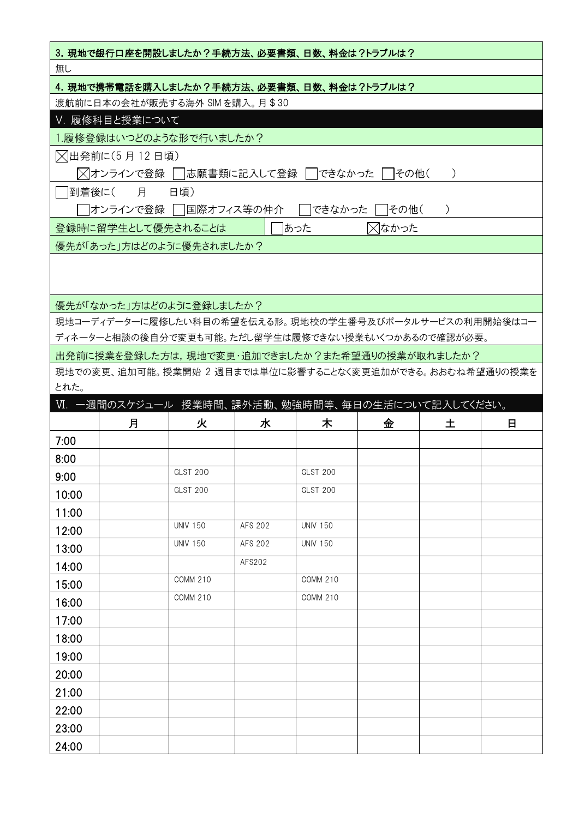| 3. 現地で銀行口座を開設しましたか?手続方法、必要書類、日数、料金は?トラブルは? |                                                          |                 |         |                 |                  |                  |   |
|--------------------------------------------|----------------------------------------------------------|-----------------|---------|-----------------|------------------|------------------|---|
| 無し                                         |                                                          |                 |         |                 |                  |                  |   |
| 4. 現地で携帯電話を購入しましたか?手続方法、必要書類、日数、料金は?トラブルは? |                                                          |                 |         |                 |                  |                  |   |
|                                            | 渡航前に日本の会社が販売する海外 SIM を購入。月\$30                           |                 |         |                 |                  |                  |   |
|                                            | Ⅴ. 履修科目と授業について                                           |                 |         |                 |                  |                  |   |
|                                            | 1.履修登録はいつどのような形で行いましたか?                                  |                 |         |                 |                  |                  |   |
|                                            | ▽ 出発前に(5 月 12 日頃)                                        |                 |         |                 |                  |                  |   |
|                                            | ╳ オンラインで登録 │  志願書類に記入して登録 │  できなかった │  その他(              |                 |         |                 |                  | $\left( \right)$ |   |
|                                            | 到着後に( 月                                                  | 日頃)             |         |                 |                  |                  |   |
|                                            | オンラインで登録    国際オフィス等の仲介                                   |                 |         |                 | できなかった    その他(   | $\mathcal{L}$    |   |
|                                            | 登録時に留学生として優先されることは                                       |                 |         | あった             | $\boxtimes$ なかった |                  |   |
|                                            | 優先が「あった」方はどのように優先されましたか?                                 |                 |         |                 |                  |                  |   |
|                                            |                                                          |                 |         |                 |                  |                  |   |
|                                            |                                                          |                 |         |                 |                  |                  |   |
|                                            | 優先が「なかった」方はどのように登録しましたか?                                 |                 |         |                 |                  |                  |   |
|                                            | 現地コーディデーターに履修したい科目の希望を伝える形。現地校の学生番号及びポータルサービスの利用開始後はコー   |                 |         |                 |                  |                  |   |
|                                            | ディネーターと相談の後自分で変更も可能。ただし留学生は履修できない授業もいくつかあるので確認が必要。       |                 |         |                 |                  |                  |   |
|                                            | 出発前に授業を登録した方は,現地で変更・追加できましたか?また希望通りの授業が取れましたか?           |                 |         |                 |                  |                  |   |
|                                            | 現地での変更、追加可能。授業開始 2 週目までは単位に影響することなく変更追加ができる。おおむね希望通りの授業を |                 |         |                 |                  |                  |   |
| とれた。                                       |                                                          |                 |         |                 |                  |                  |   |
|                                            | Ⅵ.一週間のスケジュール 授業時間、課外活動、勉強時間等、毎日の生活について記入してください。          |                 |         |                 |                  |                  |   |
|                                            | 月                                                        | 火               | 水       | 木               | 金                | 土                | 日 |
| 7:00                                       |                                                          |                 |         |                 |                  |                  |   |
| 8:00                                       |                                                          |                 |         |                 |                  |                  |   |
| 9:00                                       |                                                          | GLST 200        |         | <b>GLST 200</b> |                  |                  |   |
| 10:00                                      |                                                          | <b>GLST 200</b> |         | <b>GLST 200</b> |                  |                  |   |
| 11:00                                      |                                                          |                 |         |                 |                  |                  |   |
| 12:00                                      |                                                          | <b>UNIV 150</b> | AFS 202 | <b>UNIV 150</b> |                  |                  |   |
| 13:00                                      |                                                          | <b>UNIV 150</b> | AFS 202 | <b>UNIV 150</b> |                  |                  |   |
| 14:00                                      |                                                          |                 |         |                 |                  |                  |   |
|                                            |                                                          |                 | AFS202  |                 |                  |                  |   |
| 15:00                                      |                                                          | <b>COMM 210</b> |         | <b>COMM 210</b> |                  |                  |   |
| 16:00                                      |                                                          | <b>COMM 210</b> |         | <b>COMM 210</b> |                  |                  |   |
| 17:00                                      |                                                          |                 |         |                 |                  |                  |   |
| 18:00                                      |                                                          |                 |         |                 |                  |                  |   |
|                                            |                                                          |                 |         |                 |                  |                  |   |
| 19:00                                      |                                                          |                 |         |                 |                  |                  |   |
| 20:00                                      |                                                          |                 |         |                 |                  |                  |   |
| 21:00                                      |                                                          |                 |         |                 |                  |                  |   |
| 22:00<br>23:00                             |                                                          |                 |         |                 |                  |                  |   |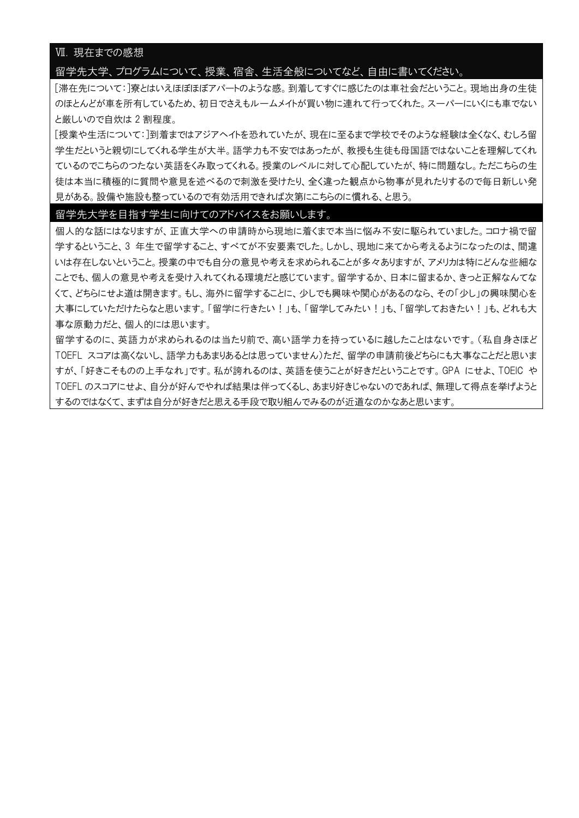## Ⅶ. 現在までの感想

## 留学先大学、プログラムについて、授業、宿舎、生活全般についてなど、自由に書いてください。

[滞在先について:]寮とはいえほぼほぼアパートのような感。到着してすぐに感じたのは車社会だということ。現地出身の生徒 のほとんどが車を所有しているため、初日でさえもルームメイトが買い物に連れて行ってくれた。スーパーにいくにも車でない と厳しいので自炊は 2 割程度。

[授業や生活について:]到着まではアジアヘイトを恐れていたが、現在に至るまで学校でそのような経験は全くなく、むしろ留 学生だというと親切にしてくれる学生が大半。語学力も不安ではあったが、教授も生徒も母国語ではないことを理解してくれ ているのでこちらのつたない英語をくみ取ってくれる。授業のレベルに対して心配していたが、特に問題なし。ただこちらの生 徒は本当に積極的に質問や意見を述べるので刺激を受けたり、全く違った観点から物事が見れたりするので毎日新しい発 見がある。設備や施設も整っているので有効活用できれば次第にこちらのに慣れる、と思う。

#### 留学先大学を目指す学生に向けてのアドバイスをお願いします。

個人的な話にはなりますが、正直大学への申請時から現地に着くまで本当に悩み不安に駆られていました。コロナ禍で留 学するということ、3 年生で留学すること、すべてが不安要素でした。しかし、現地に来てから考えるようになったのは、間違 いは存在しないということ。授業の中でも自分の意見や考えを求められることが多々ありますが、アメリカは特にどんな些細な ことでも、個人の意見や考えを受け入れてくれる環境だと感じています。留学するか、日本に留まるか、きっと正解なんてな くて、どちらにせよ道は開きます。もし、海外に留学することに、少しでも興味や関心があるのなら、その「少し」の興味関心を 大事にしていただけたらなと思います。「留学に行きたい!」も、「留学してみたい!」も、「留学しておきたい!」も、どれも大 事な原動力だと、個人的には思います。

留学するのに、英語力が求められるのは当たり前で、高い語学力を持っているに越したことはないです。(私自身さほど TOEFL スコアは高くないし、語学力もあまりあるとは思っていません)ただ、留学の申請前後どちらにも大事なことだと思いま すが、「好きこそものの上手なれ」です。私が誇れるのは、英語を使うことが好きだということです。GPA にせよ、TOEIC や TOEFL のスコアにせよ、自分が好んでやれば結果は伴ってくるし、あまり好きじゃないのであれば、無理して得点を挙げようと するのではなくて、まずは自分が好きだと思える手段で取り組んでみるのが近道なのかなあと思います。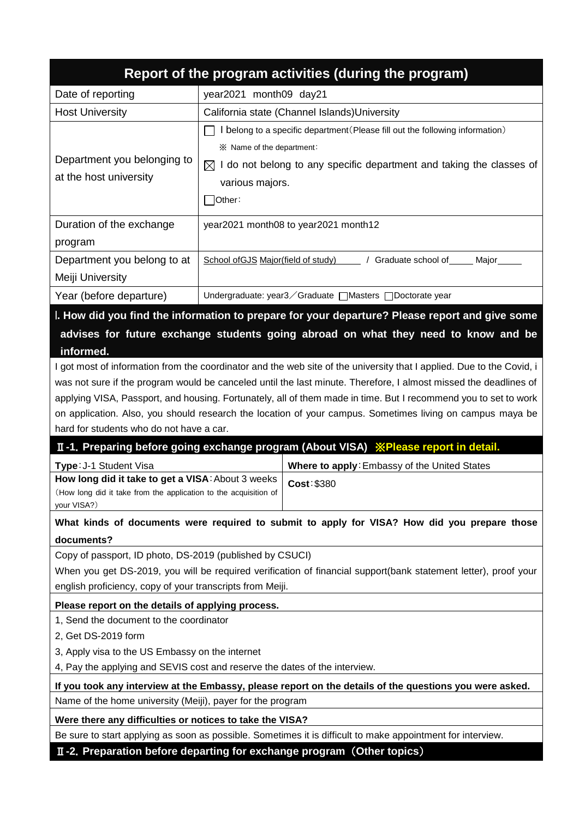|                                                                                                                                                                                                                                                                                                                                                                                                                                                                                                                       |                                                                                                                                                                                                                                  | Report of the program activities (during the program)                                                                                                                                |  |  |  |
|-----------------------------------------------------------------------------------------------------------------------------------------------------------------------------------------------------------------------------------------------------------------------------------------------------------------------------------------------------------------------------------------------------------------------------------------------------------------------------------------------------------------------|----------------------------------------------------------------------------------------------------------------------------------------------------------------------------------------------------------------------------------|--------------------------------------------------------------------------------------------------------------------------------------------------------------------------------------|--|--|--|
| Date of reporting                                                                                                                                                                                                                                                                                                                                                                                                                                                                                                     | year2021 month09 day21                                                                                                                                                                                                           |                                                                                                                                                                                      |  |  |  |
| <b>Host University</b>                                                                                                                                                                                                                                                                                                                                                                                                                                                                                                | California state (Channel Islands) University                                                                                                                                                                                    |                                                                                                                                                                                      |  |  |  |
| Department you belonging to<br>at the host university                                                                                                                                                                                                                                                                                                                                                                                                                                                                 | I belong to a specific department (Please fill out the following information)<br>※ Name of the department:<br>I do not belong to any specific department and taking the classes of<br>$\boxtimes$<br>various majors.<br>้ other: |                                                                                                                                                                                      |  |  |  |
| Duration of the exchange<br>program                                                                                                                                                                                                                                                                                                                                                                                                                                                                                   |                                                                                                                                                                                                                                  | year2021 month08 to year2021 month12                                                                                                                                                 |  |  |  |
| Department you belong to at<br>Meiji University                                                                                                                                                                                                                                                                                                                                                                                                                                                                       | School of GJS Major (field of study)                                                                                                                                                                                             | / Graduate school of _____ Major_                                                                                                                                                    |  |  |  |
| Year (before departure)                                                                                                                                                                                                                                                                                                                                                                                                                                                                                               |                                                                                                                                                                                                                                  | Undergraduate: year3 / Graduate   Masters   Doctorate year                                                                                                                           |  |  |  |
| informed.                                                                                                                                                                                                                                                                                                                                                                                                                                                                                                             |                                                                                                                                                                                                                                  | I. How did you find the information to prepare for your departure? Please report and give some<br>advises for future exchange students going abroad on what they need to know and be |  |  |  |
| I got most of information from the coordinator and the web site of the university that I applied. Due to the Covid, i<br>was not sure if the program would be canceled until the last minute. Therefore, I almost missed the deadlines of<br>applying VISA, Passport, and housing. Fortunately, all of them made in time. But I recommend you to set to work<br>on application. Also, you should research the location of your campus. Sometimes living on campus maya be<br>hard for students who do not have a car. |                                                                                                                                                                                                                                  |                                                                                                                                                                                      |  |  |  |
|                                                                                                                                                                                                                                                                                                                                                                                                                                                                                                                       |                                                                                                                                                                                                                                  | II-1. Preparing before going exchange program (About VISA) XPlease report in detail.                                                                                                 |  |  |  |
| Type: J-1 Student Visa                                                                                                                                                                                                                                                                                                                                                                                                                                                                                                |                                                                                                                                                                                                                                  | Where to apply: Embassy of the United States                                                                                                                                         |  |  |  |
| How long did it take to get a VISA: About 3 weeks<br>(How long did it take from the application to the acquisition of<br>your VISA?)                                                                                                                                                                                                                                                                                                                                                                                  |                                                                                                                                                                                                                                  | Cost: \$380                                                                                                                                                                          |  |  |  |
| What kinds of documents were required to submit to apply for VISA? How did you prepare those                                                                                                                                                                                                                                                                                                                                                                                                                          |                                                                                                                                                                                                                                  |                                                                                                                                                                                      |  |  |  |
| documents?                                                                                                                                                                                                                                                                                                                                                                                                                                                                                                            |                                                                                                                                                                                                                                  |                                                                                                                                                                                      |  |  |  |
| Copy of passport, ID photo, DS-2019 (published by CSUCI)<br>When you get DS-2019, you will be required verification of financial support(bank statement letter), proof your<br>english proficiency, copy of your transcripts from Meiji.                                                                                                                                                                                                                                                                              |                                                                                                                                                                                                                                  |                                                                                                                                                                                      |  |  |  |
| Please report on the details of applying process.                                                                                                                                                                                                                                                                                                                                                                                                                                                                     |                                                                                                                                                                                                                                  |                                                                                                                                                                                      |  |  |  |
| 1, Send the document to the coordinator<br>2, Get DS-2019 form<br>3, Apply visa to the US Embassy on the internet<br>4, Pay the applying and SEVIS cost and reserve the dates of the interview.                                                                                                                                                                                                                                                                                                                       |                                                                                                                                                                                                                                  |                                                                                                                                                                                      |  |  |  |
| If you took any interview at the Embassy, please report on the details of the questions you were asked.                                                                                                                                                                                                                                                                                                                                                                                                               |                                                                                                                                                                                                                                  |                                                                                                                                                                                      |  |  |  |
| Name of the home university (Meiji), payer for the program                                                                                                                                                                                                                                                                                                                                                                                                                                                            |                                                                                                                                                                                                                                  |                                                                                                                                                                                      |  |  |  |
| Were there any difficulties or notices to take the VISA?                                                                                                                                                                                                                                                                                                                                                                                                                                                              |                                                                                                                                                                                                                                  |                                                                                                                                                                                      |  |  |  |
| Be sure to start applying as soon as possible. Sometimes it is difficult to make appointment for interview.                                                                                                                                                                                                                                                                                                                                                                                                           |                                                                                                                                                                                                                                  |                                                                                                                                                                                      |  |  |  |
| II-2. Preparation before departing for exchange program (Other topics)                                                                                                                                                                                                                                                                                                                                                                                                                                                |                                                                                                                                                                                                                                  |                                                                                                                                                                                      |  |  |  |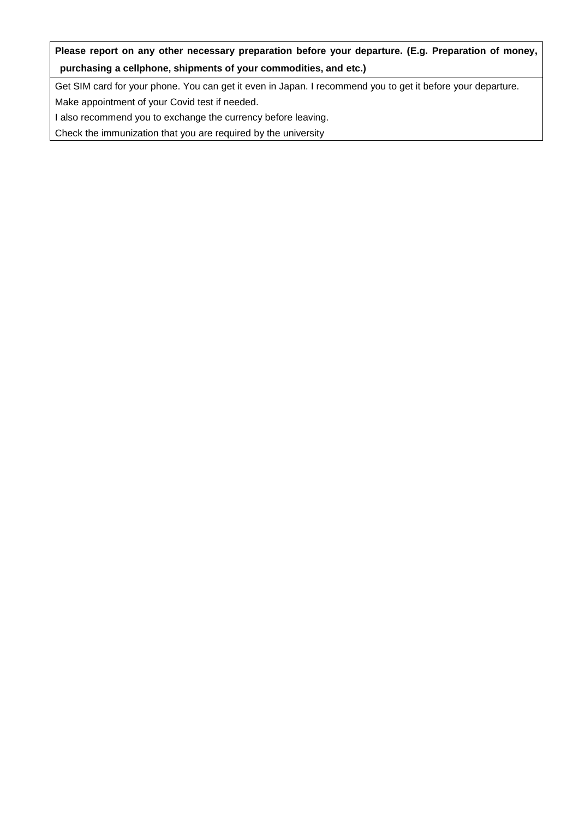**Please report on any other necessary preparation before your departure. (E.g. Preparation of money, purchasing a cellphone, shipments of your commodities, and etc.)** 

Get SIM card for your phone. You can get it even in Japan. I recommend you to get it before your departure. Make appointment of your Covid test if needed.

I also recommend you to exchange the currency before leaving.

Check the immunization that you are required by the university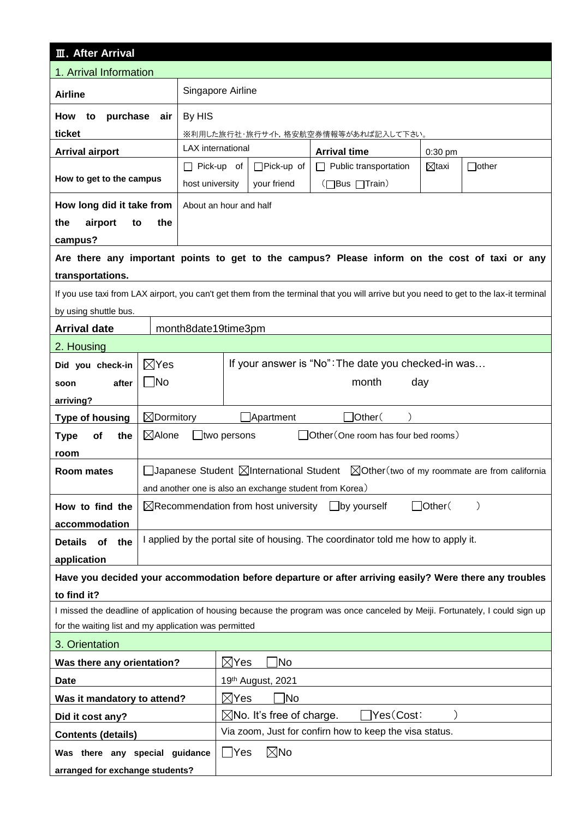| <b>III. After Arrival</b>                                                                                                    |                                                                                           |                                                                                                                                        |  |  |  |  |  |  |  |
|------------------------------------------------------------------------------------------------------------------------------|-------------------------------------------------------------------------------------------|----------------------------------------------------------------------------------------------------------------------------------------|--|--|--|--|--|--|--|
| 1. Arrival Information                                                                                                       |                                                                                           |                                                                                                                                        |  |  |  |  |  |  |  |
| <b>Airline</b>                                                                                                               |                                                                                           | Singapore Airline                                                                                                                      |  |  |  |  |  |  |  |
| purchase<br>How<br>to                                                                                                        | air                                                                                       | By HIS                                                                                                                                 |  |  |  |  |  |  |  |
| ticket                                                                                                                       |                                                                                           | ※利用した旅行社・旅行サイト,格安航空券情報等があれば記入して下さい。                                                                                                    |  |  |  |  |  |  |  |
| <b>Arrival airport</b>                                                                                                       |                                                                                           | <b>LAX</b> international<br><b>Arrival time</b><br>0:30 pm                                                                             |  |  |  |  |  |  |  |
|                                                                                                                              |                                                                                           | $\Box$ Pick-up of<br>$\Box$ Pick-up of<br>Public transportation<br>$\Box$ other<br>⊠taxi<br>$\perp$                                    |  |  |  |  |  |  |  |
| How to get to the campus                                                                                                     |                                                                                           | (□Bus □Train)<br>host university<br>your friend                                                                                        |  |  |  |  |  |  |  |
| How long did it take from                                                                                                    |                                                                                           | About an hour and half                                                                                                                 |  |  |  |  |  |  |  |
| the<br>airport<br>to                                                                                                         | the                                                                                       |                                                                                                                                        |  |  |  |  |  |  |  |
| campus?                                                                                                                      |                                                                                           |                                                                                                                                        |  |  |  |  |  |  |  |
|                                                                                                                              |                                                                                           | Are there any important points to get to the campus? Please inform on the cost of taxi or any                                          |  |  |  |  |  |  |  |
| transportations.                                                                                                             |                                                                                           |                                                                                                                                        |  |  |  |  |  |  |  |
|                                                                                                                              |                                                                                           | If you use taxi from LAX airport, you can't get them from the terminal that you will arrive but you need to get to the lax-it terminal |  |  |  |  |  |  |  |
| by using shuttle bus.                                                                                                        |                                                                                           |                                                                                                                                        |  |  |  |  |  |  |  |
| <b>Arrival date</b>                                                                                                          |                                                                                           | month8date19time3pm                                                                                                                    |  |  |  |  |  |  |  |
| 2. Housing                                                                                                                   |                                                                                           |                                                                                                                                        |  |  |  |  |  |  |  |
| Did you check-in                                                                                                             | $\boxtimes$ Yes                                                                           | If your answer is "No": The date you checked-in was                                                                                    |  |  |  |  |  |  |  |
| after<br>soon                                                                                                                | $\Box$ No                                                                                 | month<br>day                                                                                                                           |  |  |  |  |  |  |  |
| arriving?                                                                                                                    |                                                                                           |                                                                                                                                        |  |  |  |  |  |  |  |
| <b>Type of housing</b>                                                                                                       | $\boxtimes$ Dormitory                                                                     | $\Box$ Other $($<br>Apartment                                                                                                          |  |  |  |  |  |  |  |
| the<br><b>Type</b><br>of                                                                                                     | $\boxtimes$ Alone                                                                         | Other (One room has four bed rooms)<br>$\Box$ two persons                                                                              |  |  |  |  |  |  |  |
| room                                                                                                                         |                                                                                           |                                                                                                                                        |  |  |  |  |  |  |  |
| Room mates                                                                                                                   |                                                                                           | □Japanese Student $\boxtimes$ International Student $\boxtimes$ Other(two of my roommate are from california                           |  |  |  |  |  |  |  |
|                                                                                                                              |                                                                                           | and another one is also an exchange student from Korea)                                                                                |  |  |  |  |  |  |  |
| How to find the                                                                                                              | $\Box$ Other $($<br>$\boxtimes$ Recommendation from host university<br>$\Box$ by yourself |                                                                                                                                        |  |  |  |  |  |  |  |
| accommodation                                                                                                                |                                                                                           |                                                                                                                                        |  |  |  |  |  |  |  |
| of<br><b>Details</b><br>the                                                                                                  | I applied by the portal site of housing. The coordinator told me how to apply it.         |                                                                                                                                        |  |  |  |  |  |  |  |
| application                                                                                                                  |                                                                                           |                                                                                                                                        |  |  |  |  |  |  |  |
| Have you decided your accommodation before departure or after arriving easily? Were there any troubles                       |                                                                                           |                                                                                                                                        |  |  |  |  |  |  |  |
| to find it?                                                                                                                  |                                                                                           |                                                                                                                                        |  |  |  |  |  |  |  |
| I missed the deadline of application of housing because the program was once canceled by Meiji. Fortunately, I could sign up |                                                                                           |                                                                                                                                        |  |  |  |  |  |  |  |
| for the waiting list and my application was permitted                                                                        |                                                                                           |                                                                                                                                        |  |  |  |  |  |  |  |
| 3. Orientation                                                                                                               |                                                                                           |                                                                                                                                        |  |  |  |  |  |  |  |
| Was there any orientation?                                                                                                   | $\boxtimes$ Yes<br>∣No                                                                    |                                                                                                                                        |  |  |  |  |  |  |  |
| <b>Date</b>                                                                                                                  | 19th August, 2021                                                                         |                                                                                                                                        |  |  |  |  |  |  |  |
|                                                                                                                              | 1No<br>$\boxtimes$ Yes<br>Was it mandatory to attend?                                     |                                                                                                                                        |  |  |  |  |  |  |  |
| Did it cost any?                                                                                                             | $\boxtimes$ No. It's free of charge.<br>$\lvert$ Yes(Cost:                                |                                                                                                                                        |  |  |  |  |  |  |  |
| <b>Contents (details)</b>                                                                                                    | Via zoom, Just for confirn how to keep the visa status.                                   |                                                                                                                                        |  |  |  |  |  |  |  |
| Was there any special guidance                                                                                               |                                                                                           | $\boxtimes$ No<br>$\Box$ Yes                                                                                                           |  |  |  |  |  |  |  |
| arranged for exchange students?                                                                                              |                                                                                           |                                                                                                                                        |  |  |  |  |  |  |  |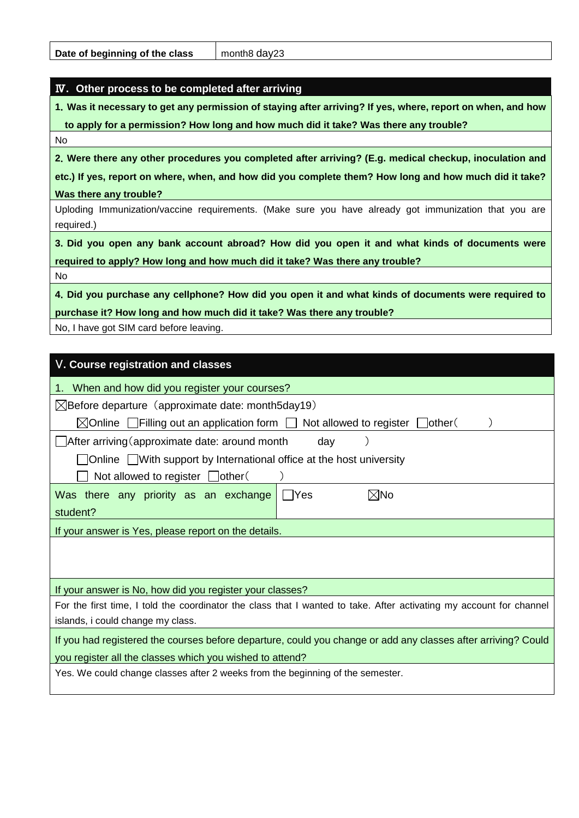# Ⅳ**. Other process to be completed after arriving**

**1**.**Was it necessary to get any permission of staying after arriving? If yes, where, report on when, and how to apply for a permission? How long and how much did it take? Was there any trouble?**

No

**2**.**Were there any other procedures you completed after arriving? (E.g. medical checkup, inoculation and**

**etc.) If yes, report on where, when, and how did you complete them? How long and how much did it take? Was there any trouble?**

Uploding Immunization/vaccine requirements. (Make sure you have already got immunization that you are required.)

**3**.**Did you open any bank account abroad? How did you open it and what kinds of documents were required to apply? How long and how much did it take? Was there any trouble?**

No

**4**.**Did you purchase any cellphone? How did you open it and what kinds of documents were required to purchase it? How long and how much did it take? Was there any trouble?**

No, I have got SIM card before leaving.

| V. Course registration and classes                                                                                  |  |  |  |  |  |  |
|---------------------------------------------------------------------------------------------------------------------|--|--|--|--|--|--|
| 1. When and how did you register your courses?                                                                      |  |  |  |  |  |  |
| $\boxtimes$ Before departure (approximate date: month5day19)                                                        |  |  |  |  |  |  |
| $\boxtimes$ Online $\Box$ Filling out an application form $\Box$ Not allowed to register<br>lother(                 |  |  |  |  |  |  |
| $\Box$ After arriving (approximate date: around month<br>day                                                        |  |  |  |  |  |  |
| Online   With support by International office at the host university                                                |  |  |  |  |  |  |
| Not allowed to register $\Box$ other(                                                                               |  |  |  |  |  |  |
| $\boxtimes$ No<br>Was there any priority as an exchange<br>l IYes                                                   |  |  |  |  |  |  |
| student?                                                                                                            |  |  |  |  |  |  |
| If your answer is Yes, please report on the details.                                                                |  |  |  |  |  |  |
|                                                                                                                     |  |  |  |  |  |  |
|                                                                                                                     |  |  |  |  |  |  |
| If your answer is No, how did you register your classes?                                                            |  |  |  |  |  |  |
| For the first time, I told the coordinator the class that I wanted to take. After activating my account for channel |  |  |  |  |  |  |
| islands, i could change my class.                                                                                   |  |  |  |  |  |  |
| If you had registered the courses before departure, could you change or add any classes after arriving? Could       |  |  |  |  |  |  |
| you register all the classes which you wished to attend?                                                            |  |  |  |  |  |  |
| Yes. We could change classes after 2 weeks from the beginning of the semester.                                      |  |  |  |  |  |  |
|                                                                                                                     |  |  |  |  |  |  |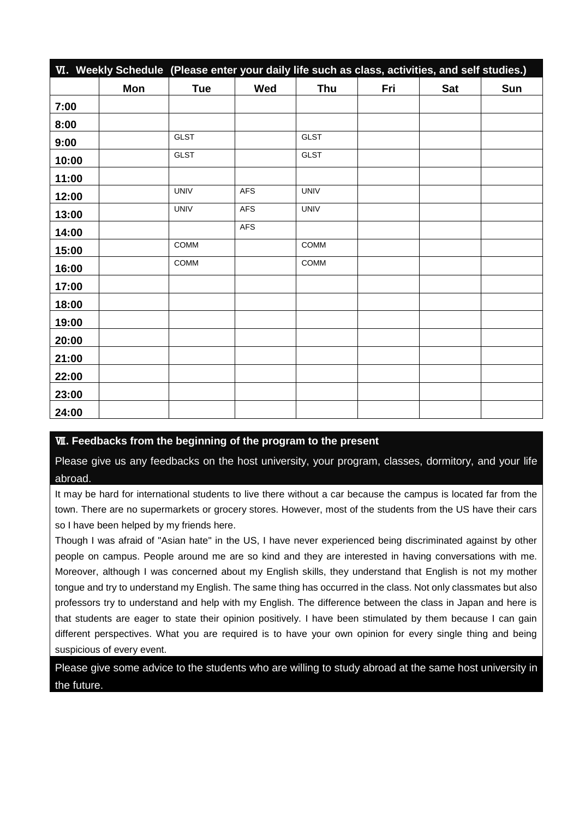|       | VI. Weekly Schedule (Please enter your daily life such as class, activities, and self studies.) |             |            |             |     |            |     |
|-------|-------------------------------------------------------------------------------------------------|-------------|------------|-------------|-----|------------|-----|
|       | Mon                                                                                             | <b>Tue</b>  | Wed        | <b>Thu</b>  | Fri | <b>Sat</b> | Sun |
| 7:00  |                                                                                                 |             |            |             |     |            |     |
| 8:00  |                                                                                                 |             |            |             |     |            |     |
| 9:00  |                                                                                                 | <b>GLST</b> |            | <b>GLST</b> |     |            |     |
| 10:00 |                                                                                                 | <b>GLST</b> |            | <b>GLST</b> |     |            |     |
| 11:00 |                                                                                                 |             |            |             |     |            |     |
| 12:00 |                                                                                                 | <b>UNIV</b> | <b>AFS</b> | <b>UNIV</b> |     |            |     |
| 13:00 |                                                                                                 | <b>UNIV</b> | <b>AFS</b> | <b>UNIV</b> |     |            |     |
| 14:00 |                                                                                                 |             | AFS        |             |     |            |     |
| 15:00 |                                                                                                 | COMM        |            | COMM        |     |            |     |
| 16:00 |                                                                                                 | <b>COMM</b> |            | COMM        |     |            |     |
| 17:00 |                                                                                                 |             |            |             |     |            |     |
| 18:00 |                                                                                                 |             |            |             |     |            |     |
| 19:00 |                                                                                                 |             |            |             |     |            |     |
| 20:00 |                                                                                                 |             |            |             |     |            |     |
| 21:00 |                                                                                                 |             |            |             |     |            |     |
| 22:00 |                                                                                                 |             |            |             |     |            |     |
| 23:00 |                                                                                                 |             |            |             |     |            |     |
| 24:00 |                                                                                                 |             |            |             |     |            |     |

# Ⅶ**. Feedbacks from the beginning of the program to the present**

Please give us any feedbacks on the host university, your program, classes, dormitory, and your life abroad.

It may be hard for international students to live there without a car because the campus is located far from the town. There are no supermarkets or grocery stores. However, most of the students from the US have their cars so I have been helped by my friends here.

Though I was afraid of "Asian hate" in the US, I have never experienced being discriminated against by other people on campus. People around me are so kind and they are interested in having conversations with me. Moreover, although I was concerned about my English skills, they understand that English is not my mother tongue and try to understand my English. The same thing has occurred in the class. Not only classmates but also professors try to understand and help with my English. The difference between the class in Japan and here is that students are eager to state their opinion positively. I have been stimulated by them because I can gain different perspectives. What you are required is to have your own opinion for every single thing and being suspicious of every event.

Please give some advice to the students who are willing to study abroad at the same host university in the future.